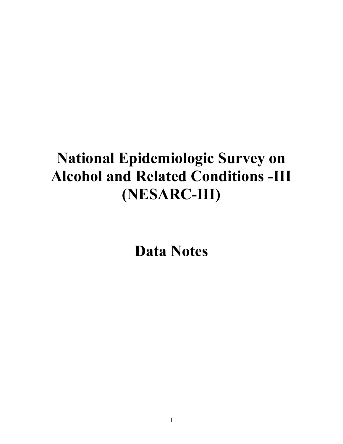# **National Epidemiologic Survey on Alcohol and Related Conditions -III (NESARC-III)**

**Data Notes**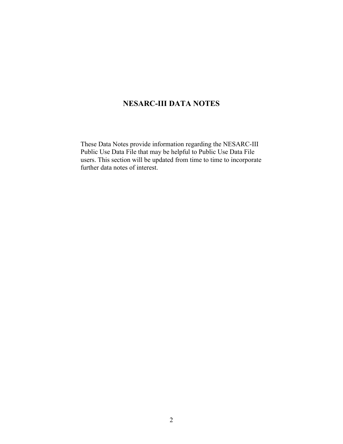# **NESARC-III DATA NOTES**

These Data Notes provide information regarding the NESARC-III Public Use Data File that may be helpful to Public Use Data File users. This section will be updated from time to time to incorporate further data notes of interest.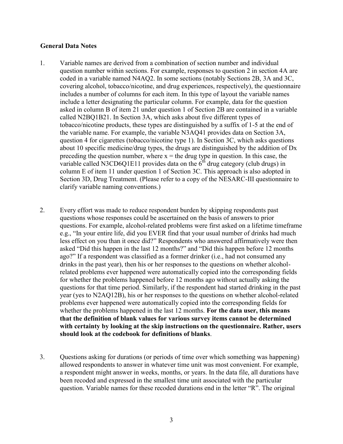#### **General Data Notes**

- 1. Variable names are derived from a combination of section number and individual question number within sections. For example, responses to question 2 in section 4A are coded in a variable named N4AQ2. In some sections (notably Sections 2B, 3A and 3C, covering alcohol, tobacco/nicotine, and drug experiences, respectively), the questionnaire includes a number of columns for each item. In this type of layout the variable names include a letter designating the particular column. For example, data for the question asked in column B of item 21 under question 1 of Section 2B are contained in a variable called N2BQ1B21. In Section 3A, which asks about five different types of tobacco/nicotine products, these types are distinguished by a suffix of 1-5 at the end of the variable name. For example, the variable N3AQ41 provides data on Section 3A, question 4 for cigarettes (tobacco/nicotine type 1). In Section 3C, which asks questions about 10 specific medicine/drug types, the drugs are distinguished by the addition of Dx preceding the question number, where  $x =$  the drug type in question. In this case, the variable called N3CD6Q1E11 provides data on the  $6<sup>th</sup>$  drug category (club drugs) in column E of item 11 under question 1 of Section 3C. This approach is also adopted in Section 3D, Drug Treatment. (Please refer to a copy of the NESARC-III questionnaire to clarify variable naming conventions.)
- 2. Every effort was made to reduce respondent burden by skipping respondents past questions whose responses could be ascertained on the basis of answers to prior questions. For example, alcohol-related problems were first asked on a lifetime timeframe e.g., "In your entire life, did you EVER find that your usual number of drinks had much less effect on you than it once did?" Respondents who answered affirmatively were then asked "Did this happen in the last 12 months?" and "Did this happen before 12 months ago?" If a respondent was classified as a former drinker (i.e., had not consumed any drinks in the past year), then his or her responses to the questions on whether alcoholrelated problems ever happened were automatically copied into the corresponding fields for whether the problems happened before 12 months ago without actually asking the questions for that time period. Similarly, if the respondent had started drinking in the past year (yes to N2AQ12B), his or her responses to the questions on whether alcohol-related problems ever happened were automatically copied into the corresponding fields for whether the problems happened in the last 12 months. **For the data user, this means that the definition of blank values for various survey items cannot be determined with certainty by looking at the skip instructions on the questionnaire. Rather, users should look at the codebook for definitions of blanks**.
- 3. Questions asking for durations (or periods of time over which something was happening) allowed respondents to answer in whatever time unit was most convenient. For example, a respondent might answer in weeks, months, or years. In the data file, all durations have been recoded and expressed in the smallest time unit associated with the particular question. Variable names for these recoded durations end in the letter "R". The original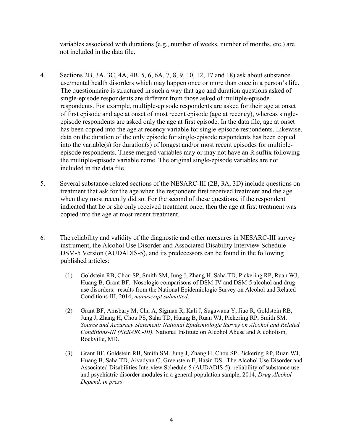variables associated with durations (e.g., number of weeks, number of months, etc.) are not included in the data file.

- 4. Sections 2B, 3A, 3C, 4A, 4B, 5, 6, 6A, 7, 8, 9, 10, 12, 17 and 18) ask about substance use/mental health disorders which may happen once or more than once in a person's life. The questionnaire is structured in such a way that age and duration questions asked of single-episode respondents are different from those asked of multiple-episode respondents. For example, multiple-episode respondents are asked for their age at onset of first episode and age at onset of most recent episode (age at recency), whereas singleepisode respondents are asked only the age at first episode. In the data file, age at onset has been copied into the age at recency variable for single-episode respondents. Likewise, data on the duration of the only episode for single-episode respondents has been copied into the variable(s) for duration(s) of longest and/or most recent episodes for multipleepisode respondents. These merged variables may or may not have an R suffix following the multiple-episode variable name. The original single-episode variables are not included in the data file.
- 5. Several substance-related sections of the NESARC-III (2B, 3A, 3D) include questions on treatment that ask for the age when the respondent first received treatment and the age when they most recently did so. For the second of these questions, if the respondent indicated that he or she only received treatment once, then the age at first treatment was copied into the age at most recent treatment.
- 6. The reliability and validity of the diagnostic and other measures in NESARC-III survey instrument, the Alcohol Use Disorder and Associated Disability Interview Schedule-- DSM-5 Version (AUDADIS-5), and its predecessors can be found in the following published articles:
	- (1) Goldstein RB, Chou SP, Smith SM, Jung J, Zhang H, Saha TD, Pickering RP, Ruan WJ, Huang B, Grant BF. Nosologic comparisons of DSM-IV and DSM-5 alcohol and drug use disorders: results from the National Epidemiologic Survey on Alcohol and Related Conditions-III, 2014, *manuscript submitted*.
	- (2) Grant BF, Amsbary M, Chu A, Sigman R, Kali J, Sugawana Y, Jiao R, Goldstein RB, Jung J, Zhang H, Chou PS, Saha TD, Huang B, Ruan WJ, Pickering RP, Smith SM. *Source and Accuracy Statement: National Epidemiologic Survey on Alcohol and Related Conditions-III (NESARC-III).* National Institute on Alcohol Abuse and Alcoholism, Rockville, MD.
	- (3) Grant BF, Goldstein RB, Smith SM, Jung J, Zhang H, Chou SP, Pickering RP, Ruan WJ, Huang B, Saha TD, Aivadyan C, Greenstein E, Hasin DS. The Alcohol Use Disorder and Associated Disabilities Interview Schedule-5 (AUDADIS-5): reliability of substance use and psychiatric disorder modules in a general population sample, 2014, *Drug Alcohol Depend, in press*.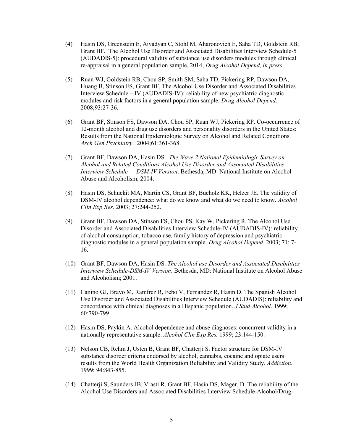- (4) Hasin DS, Greenstein E, Aivadyan C, Stohl M, Aharonovich E, Saha TD, Goldstein RB, Grant BF. The Alcohol Use Disorder and Associated Disabilities Interview Schedule-5 (AUDADIS-5): procedural validity of substance use disorders modules through clinical re-appraisal in a general population sample, 2014, *Drug Alcohol Depend, in press*.
- (5) Ruan WJ, Goldstein RB, Chou SP, Smith SM, Saha TD, Pickering RP, Dawson DA, Huang B, Stinson FS, Grant BF. The Alcohol Use Disorder and Associated Disabilities Interview Schedule – IV (AUDADIS-IV): reliability of new psychiatric diagnostic modules and risk factors in a general population sample. *Drug Alcohol Depend*. 2008;93:27-36.
- (6) Grant BF, Stinson FS, Dawson DA, Chou SP, Ruan WJ, Pickering RP. Co-occurrence of 12-month alcohol and drug use disorders and personality disorders in the United States: Results from the National Epidemiologic Survey on Alcohol and Related Conditions. *Arch Gen Psychiatry*. 2004;61:361-368.
- (7) Grant BF, Dawson DA, Hasin DS. *The Wave 2 National Epidemiologic Survey on Alcohol and Related Conditions Alcohol Use Disorder and Associated Disabilities Interview Schedule — DSM-IV Version*. Bethesda, MD: National Institute on Alcohol Abuse and Alcoholism; 2004.
- (8) Hasin DS, Schuckit MA, Martin CS, Grant BF, Bucholz KK, Helzer JE. The validity of DSM-IV alcohol dependence: what do we know and what do we need to know. *Alcohol Clin Exp Res*. 2003; 27:244-252.
- (9) Grant BF, Dawson DA, Stinson FS, Chou PS, Kay W, Pickering R, The Alcohol Use Disorder and Associated Disabilities Interview Schedule-IV (AUDADIS-IV): reliability of alcohol consumption, tobacco use, family history of depression and psychiatric diagnostic modules in a general population sample. *Drug Alcohol Depend*. 2003; 71: 7- 16.
- (10) Grant BF, Dawson DA, Hasin DS. *The Alcohol use Disorder and Associated Disabilities Interview Schedule-DSM-IV Version*. Bethesda, MD: National Institute on Alcohol Abuse and Alcoholism; 2001.
- (11) Canino GJ, Bravo M, Ramfrez R, Febo V, Fernandez R, Hasin D. The Spanish Alcohol Use Disorder and Associated Disabilities Interview Schedule (AUDADIS): reliability and concordance with clinical diagnoses in a Hispanic population. *J Stud Alcohol*. 1999; 60:790-799.
- (12) Hasin DS, Paykin A. Alcohol dependence and abuse diagnoses: concurrent validity in a nationally representative sample. *Alcohol Clin Exp Res.* 1999; 23:144-150.
- (13) Nelson CB, Rehm J, Usten B, Grant BF, Chatterji S. Factor structure for DSM-IV substance disorder criteria endorsed by alcohol, cannabis, cocaine and opiate users: results from the World Health Organization Reliability and Validity Study. *Addiction*. 1999; 94:843-855.
- (14) Chatterji S, Saunders JB, Vrasti R, Grant BF, Hasin DS, Mager, D. The reliability of the Alcohol Use Disorders and Associated Disabilities Interview Schedule-Alcohol/Drug-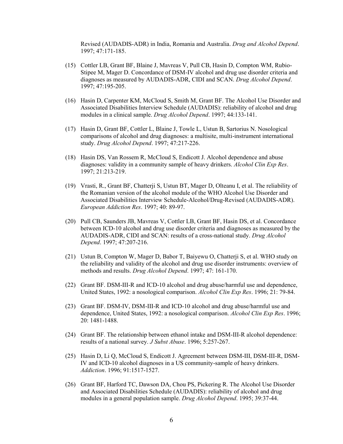Revised (AUDADIS-ADR) in India, Romania and Australia. *Drug and Alcohol Depend*. 1997; 47:171-185.

- (15) Cottler LB, Grant BF, Blaine J, Mavreas V, Pull CB, Hasin D, Compton WM, Rubio-Stipee M, Mager D. Concordance of DSM-IV alcohol and drug use disorder criteria and diagnoses as measured by AUDADIS-ADR, CIDI and SCAN. *Drug Alcohol Depend*. 1997; 47:195-205.
- (16) Hasin D, Carpenter KM, McCloud S, Smith M, Grant BF. The Alcohol Use Disorder and Associated Disabilities Interview Schedule (AUDADIS): reliability of alcohol and drug modules in a clinical sample. *Drug Alcohol Depend*. 1997; 44:133-141.
- (17) Hasin D, Grant BF, Cottler L, Blaine J, Towle L, Ustun B, Sartorius N. Nosological comparisons of alcohol and drug diagnoses: a multisite, multi-instrument international study. *Drug Alcohol Depend*. 1997; 47:217-226.
- (18) Hasin DS, Van Rossem R, McCloud S, Endicott J. Alcohol dependence and abuse diagnoses: validity in a community sample of heavy drinkers. *Alcohol Clin Exp Res*. 1997; 21:213-219.
- (19) Vrasti, R., Grant BF, Chatterji S, Ustun BT, Mager D, Olteanu I, et al. The reliability of the Romanian version of the alcohol module of the WHO Alcohol Use Disorder and Associated Disabilities Interview Schedule-Alcohol/Drug-Revised (AUDADIS-ADR). *European Addiction Res*. 1997; 40: 89-97.
- (20) Pull CB, Saunders JB, Mavreas V, Cottler LB, Grant BF, Hasin DS, et al. Concordance between ICD-10 alcohol and drug use disorder criteria and diagnoses as measured by the AUDADIS-ADR, CIDI and SCAN: results of a cross-national study. *Drug Alcohol Depend*. 1997; 47:207-216.
- (21) Ustun B, Compton W, Mager D, Babor T, Baiyewu O, Chatterji S, et al. WHO study on the reliability and validity of the alcohol and drug use disorder instruments: overview of methods and results. *Drug Alcohol Depend*. 1997; 47: 161-170.
- (22) Grant BF. DSM-III-R and ICD-10 alcohol and drug abuse/harmful use and dependence, United States, 1992: a nosological comparison. *Alcohol Clin Exp Res*. 1996; 21: 79-84.
- (23) Grant BF. DSM-IV, DSM-III-R and ICD-10 alcohol and drug abuse/harmful use and dependence, United States, 1992: a nosological comparison. *Alcohol Clin Exp Res*. 1996; 20: 1481-1488.
- (24) Grant BF. The relationship between ethanol intake and DSM-III-R alcohol dependence: results of a national survey. *J Subst Abuse*. 1996; 5:257-267.
- (25) Hasin D, Li Q, McCloud S, Endicott J. Agreement between DSM-III, DSM-III-R, DSM-IV and ICD-10 alcohol diagnoses in a US community-sample of heavy drinkers. *Addiction*. 1996; 91:1517-1527.
- (26) Grant BF, Harford TC, Dawson DA, Chou PS, Pickering R. The Alcohol Use Disorder and Associated Disabilities Schedule (AUDADIS): reliability of alcohol and drug modules in a general population sample. *Drug Alcohol Depend*. 1995; 39:37-44.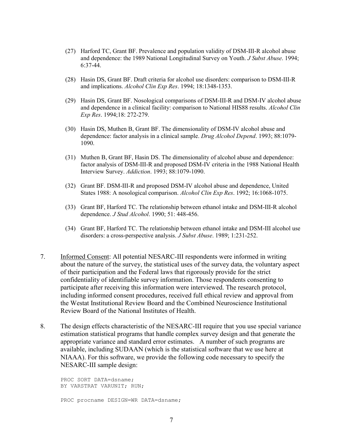- (27) Harford TC, Grant BF. Prevalence and population validity of DSM-III-R alcohol abuse and dependence: the 1989 National Longitudinal Survey on Youth. *J Subst Abuse*. 1994; 6:37-44.
- (28) Hasin DS, Grant BF. Draft criteria for alcohol use disorders: comparison to DSM-III-R and implications. *Alcohol Clin Exp Res*. 1994; 18:1348-1353.
- (29) Hasin DS, Grant BF. Nosological comparisons of DSM-III-R and DSM-IV alcohol abuse and dependence in a clinical facility: comparison to National HIS88 results. *Alcohol Clin Exp Res*. 1994;18: 272-279.
- (30) Hasin DS, Muthen B, Grant BF. The dimensionality of DSM-IV alcohol abuse and dependence: factor analysis in a clinical sample. *Drug Alcohol Depend*. 1993; 88:1079- 1090.
- (31) Muthen B, Grant BF, Hasin DS. The dimensionality of alcohol abuse and dependence: factor analysis of DSM-III-R and proposed DSM-IV criteria in the 1988 National Health Interview Survey. *Addiction*. 1993; 88:1079-1090.
- (32) Grant BF. DSM-III-R and proposed DSM-IV alcohol abuse and dependence, United States 1988: A nosological comparison. *Alcohol Clin Exp Res*. 1992; 16:1068-1075.
- (33) Grant BF, Harford TC. The relationship between ethanol intake and DSM-III-R alcohol dependence. *J Stud Alcohol*. 1990; 51: 448-456.
- (34) Grant BF, Harford TC. The relationship between ethanol intake and DSM-III alcohol use disorders: a cross-perspective analysis. *J Subst Abuse*. 1989; 1:231-252.
- 7. Informed Consent: All potential NESARC-III respondents were informed in writing about the nature of the survey, the statistical uses of the survey data, the voluntary aspect of their participation and the Federal laws that rigorously provide for the strict confidentiality of identifiable survey information. Those respondents consenting to participate after receiving this information were interviewed. The research protocol, including informed consent procedures, received full ethical review and approval from the Westat Institutional Review Board and the Combined Neuroscience Institutional Review Board of the National Institutes of Health.
- 8. The design effects characteristic of the NESARC-III require that you use special variance estimation statistical programs that handle complex survey design and that generate the appropriate variance and standard error estimates. A number of such programs are available, including SUDAAN (which is the statistical software that we use here at NIAAA). For this software, we provide the following code necessary to specify the NESARC-III sample design:

PROC SORT DATA=dsname; BY VARSTRAT VARUNIT; RUN; PROC procname DESIGN=WR DATA=dsname;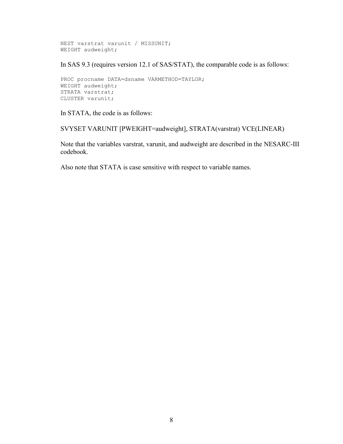```
NEST varstrat varunit / MISSUNIT;
WEIGHT audweight;
```
In SAS 9.3 (requires version 12.1 of SAS/STAT), the comparable code is as follows:

```
PROC procname DATA=dsname VARMETHOD=TAYLOR;
WEIGHT audweight;
STRATA varstrat;
CLUSTER varunit;
```
In STATA, the code is as follows:

SVYSET VARUNIT [PWEIGHT=audweight], STRATA(varstrat) VCE(LINEAR)

Note that the variables varstrat, varunit, and audweight are described in the NESARC-III codebook.

Also note that STATA is case sensitive with respect to variable names.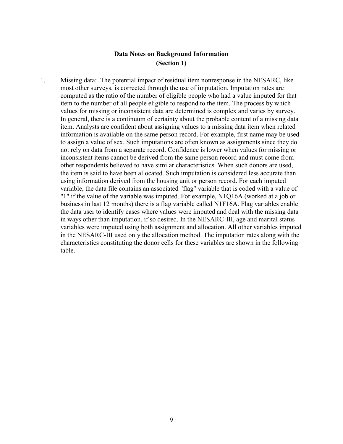## **Data Notes on Background Information (Section 1)**

1. Missing data: The potential impact of residual item nonresponse in the NESARC, like most other surveys, is corrected through the use of imputation. Imputation rates are computed as the ratio of the number of eligible people who had a value imputed for that item to the number of all people eligible to respond to the item. The process by which values for missing or inconsistent data are determined is complex and varies by survey. In general, there is a continuum of certainty about the probable content of a missing data item. Analysts are confident about assigning values to a missing data item when related information is available on the same person record. For example, first name may be used to assign a value of sex. Such imputations are often known as assignments since they do not rely on data from a separate record. Confidence is lower when values for missing or inconsistent items cannot be derived from the same person record and must come from other respondents believed to have similar characteristics. When such donors are used, the item is said to have been allocated. Such imputation is considered less accurate than using information derived from the housing unit or person record. For each imputed variable, the data file contains an associated "flag" variable that is coded with a value of "1" if the value of the variable was imputed. For example, N1Q16A (worked at a job or business in last 12 months) there is a flag variable called N1F16A. Flag variables enable the data user to identify cases where values were imputed and deal with the missing data in ways other than imputation, if so desired. In the NESARC-III, age and marital status variables were imputed using both assignment and allocation. All other variables imputed in the NESARC-III used only the allocation method. The imputation rates along with the characteristics constituting the donor cells for these variables are shown in the following table.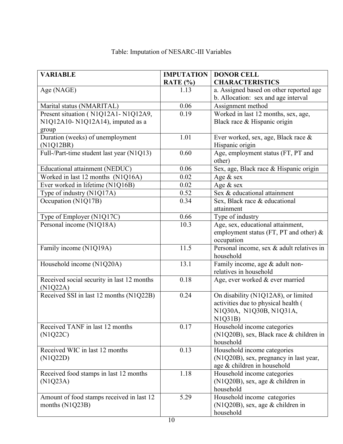| <b>VARIABLE</b>                                                       | <b>IMPUTATION</b> | <b>DONOR CELL</b>                                       |
|-----------------------------------------------------------------------|-------------------|---------------------------------------------------------|
|                                                                       | RATE $(\% )$      | <b>CHARACTERISTICS</b>                                  |
| Age (NAGE)                                                            | 1.13              | a. Assigned based on other reported age                 |
|                                                                       |                   | b. Allocation: sex and age interval                     |
| Marital status (NMARITAL)                                             | 0.06              | Assignment method                                       |
| Present situation (N1Q12A1-N1Q12A9,                                   | 0.19              | Worked in last 12 months, sex, age,                     |
| N1Q12A10-N1Q12A14), imputed as a                                      |                   | Black race & Hispanic origin                            |
| group                                                                 |                   |                                                         |
| Duration (weeks) of unemployment                                      | 1.01              | Ever worked, sex, age, Black race &                     |
| (N1Q12BR)                                                             |                   | Hispanic origin                                         |
| Full-/Part-time student last year (N1Q13)                             | 0.60              | Age, employment status (FT, PT and                      |
|                                                                       | 0.06              | other)                                                  |
| Educational attainment (NEDUC)                                        | 0.02              | Sex, age, Black race & Hispanic origin                  |
| Worked in last 12 months (N1Q16A)<br>Ever worked in lifetime (N1Q16B) | 0.02              | Age & sex                                               |
|                                                                       |                   | Age & sex<br>Sex & educational attainment               |
| Type of industry (N1Q17A)                                             | 0.52              |                                                         |
| Occupation (N1Q17B)                                                   | 0.34              | Sex, Black race & educational                           |
|                                                                       | 0.66              | attainment                                              |
| Type of Employer (N1Q17C)<br>Personal income (N1Q18A)                 | 10.3              | Type of industry<br>Age, sex, educational attainment,   |
|                                                                       |                   |                                                         |
|                                                                       |                   | employment status (FT, PT and other) $\&$<br>occupation |
| Family income (N1Q19A)                                                | 11.5              | Personal income, sex & adult relatives in               |
|                                                                       |                   | household                                               |
| Household income (N1Q20A)                                             | 13.1              | Family income, age & adult non-                         |
|                                                                       |                   | relatives in household                                  |
| Received social security in last 12 months                            | 0.18              | Age, ever worked & ever married                         |
| (N1Q22A)                                                              |                   |                                                         |
| Received SSI in last 12 months (N1Q22B)                               | 0.24              | On disability (N1Q12A8), or limited                     |
|                                                                       |                   | activities due to physical health (                     |
|                                                                       |                   | N1Q30A, N1Q30B, N1Q31A,                                 |
|                                                                       |                   | N1Q31B)                                                 |
| Received TANF in last 12 months                                       | 0.17              | Household income categories                             |
| (N1Q22C)                                                              |                   | (N1Q20B), sex, Black race & children in                 |
|                                                                       |                   | household                                               |
| Received WIC in last 12 months                                        | 0.13              | Household income categories                             |
| (N1Q22D)                                                              |                   | (N1Q20B), sex, pregnancy in last year,                  |
|                                                                       |                   | age & children in household                             |
| Received food stamps in last 12 months                                | 1.18              | Household income categories                             |
| (N1Q23A)                                                              |                   | (N1Q20B), sex, age & children in                        |
|                                                                       |                   | household                                               |
| Amount of food stamps received in last 12                             | 5.29              | Household income categories                             |
| months (N1Q23B)                                                       |                   | $(N1Q20B)$ , sex, age & children in                     |
|                                                                       |                   | household                                               |

# Table: Imputation of NESARC-III Variables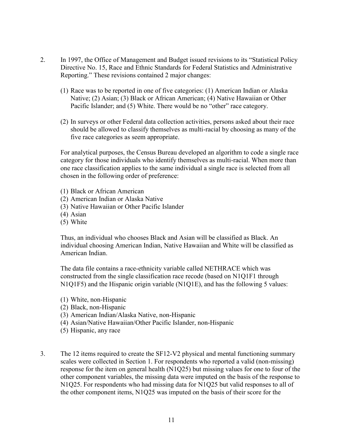- 2. In 1997, the Office of Management and Budget issued revisions to its "Statistical Policy Directive No. 15, Race and Ethnic Standards for Federal Statistics and Administrative Reporting." These revisions contained 2 major changes:
	- (1) Race was to be reported in one of five categories: (1) American Indian or Alaska Native; (2) Asian; (3) Black or African American; (4) Native Hawaiian or Other Pacific Islander; and (5) White. There would be no "other" race category.
	- (2) In surveys or other Federal data collection activities, persons asked about their race should be allowed to classify themselves as multi-racial by choosing as many of the five race categories as seem appropriate.

For analytical purposes, the Census Bureau developed an algorithm to code a single race category for those individuals who identify themselves as multi-racial. When more than one race classification applies to the same individual a single race is selected from all chosen in the following order of preference:

- (1) Black or African American
- (2) American Indian or Alaska Native
- (3) Native Hawaiian or Other Pacific Islander
- (4) Asian
- (5) White

Thus, an individual who chooses Black and Asian will be classified as Black. An individual choosing American Indian, Native Hawaiian and White will be classified as American Indian.

The data file contains a race-ethnicity variable called NETHRACE which was constructed from the single classification race recode (based on N1Q1F1 through N1Q1F5) and the Hispanic origin variable (N1Q1E), and has the following 5 values:

- (1) White, non-Hispanic
- (2) Black, non-Hispanic
- (3) American Indian/Alaska Native, non-Hispanic
- (4) Asian/Native Hawaiian/Other Pacific Islander, non-Hispanic
- (5) Hispanic, any race
- 3. The 12 items required to create the SF12-V2 physical and mental functioning summary scales were collected in Section 1. For respondents who reported a valid (non-missing) response for the item on general health (N1Q25) but missing values for one to four of the other component variables, the missing data were imputed on the basis of the response to N1Q25. For respondents who had missing data for N1Q25 but valid responses to all of the other component items, N1Q25 was imputed on the basis of their score for the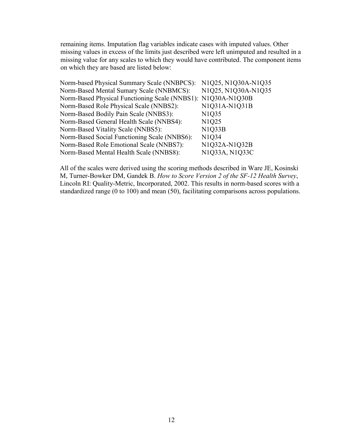remaining items. Imputation flag variables indicate cases with imputed values. Other missing values in excess of the limits just described were left unimputed and resulted in a missing value for any scales to which they would have contributed. The component items on which they are based are listed below:

| Norm-based Physical Summary Scale (NNBPCS): N1Q25, N1Q30A-N1Q35 |
|-----------------------------------------------------------------|
| N1Q25, N1Q30A-N1Q35                                             |
| Norm-Based Physical Functioning Scale (NNBS1): N1Q30A-N1Q30B    |
| N1Q31A-N1Q31B                                                   |
| N <sub>1</sub> Q <sub>35</sub>                                  |
| N1Q25                                                           |
| N1Q33B                                                          |
| N1Q34                                                           |
| N1Q32A-N1Q32B                                                   |
| N1Q33A, N1Q33C                                                  |
|                                                                 |

All of the scales were derived using the scoring methods described in Ware JE, Kosinski M, Turner-Bowker DM, Gandek B. *How to Score Version 2 of the SF-12 Health Survey*, Lincoln RI: Quality-Metric, Incorporated, 2002. This results in norm-based scores with a standardized range (0 to 100) and mean (50), facilitating comparisons across populations.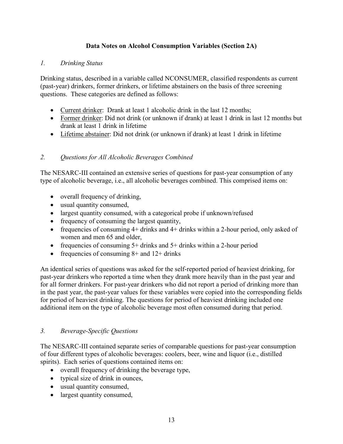## **Data Notes on Alcohol Consumption Variables (Section 2A)**

## *1. Drinking Status*

Drinking status, described in a variable called NCONSUMER, classified respondents as current (past-year) drinkers, former drinkers, or lifetime abstainers on the basis of three screening questions. These categories are defined as follows:

- Current drinker: Drank at least 1 alcoholic drink in the last 12 months;
- Former drinker: Did not drink (or unknown if drank) at least 1 drink in last 12 months but drank at least 1 drink in lifetime
- Lifetime abstainer: Did not drink (or unknown if drank) at least 1 drink in lifetime

## *2. Questions for All Alcoholic Beverages Combined*

The NESARC-III contained an extensive series of questions for past-year consumption of any type of alcoholic beverage, i.e., all alcoholic beverages combined. This comprised items on:

- overall frequency of drinking,
- · usual quantity consumed,
- · largest quantity consumed, with a categorical probe if unknown/refused
- frequency of consuming the largest quantity,
- frequencies of consuming  $4+$  drinks and  $4+$  drinks within a 2-hour period, only asked of women and men 65 and older,
- frequencies of consuming 5+ drinks and 5+ drinks within a 2-hour period
- frequencies of consuming  $8+$  and  $12+$  drinks

An identical series of questions was asked for the self-reported period of heaviest drinking, for past-year drinkers who reported a time when they drank more heavily than in the past year and for all former drinkers. For past-year drinkers who did not report a period of drinking more than in the past year, the past-year values for these variables were copied into the corresponding fields for period of heaviest drinking. The questions for period of heaviest drinking included one additional item on the type of alcoholic beverage most often consumed during that period.

#### *3. Beverage-Specific Questions*

The NESARC-III contained separate series of comparable questions for past-year consumption of four different types of alcoholic beverages: coolers, beer, wine and liquor (i.e., distilled spirits). Each series of questions contained items on:

- · overall frequency of drinking the beverage type,
- typical size of drink in ounces,
- · usual quantity consumed,
- largest quantity consumed,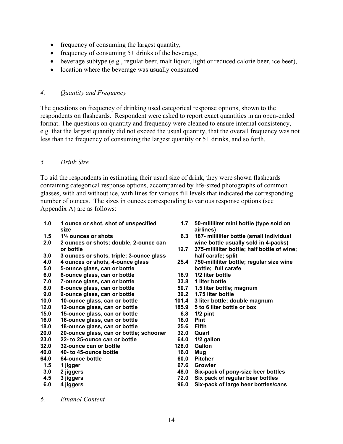- frequency of consuming the largest quantity,
- frequency of consuming  $5+$  drinks of the beverage,
- beverage subtype (e.g., regular beer, malt liquor, light or reduced calorie beer, ice beer),
- location where the beverage was usually consumed

#### *4. Quantity and Frequency*

The questions on frequency of drinking used categorical response options, shown to the respondents on flashcards. Respondent were asked to report exact quantities in an open-ended format. The questions on quantity and frequency were cleaned to ensure internal consistency, e.g. that the largest quantity did not exceed the usual quantity, that the overall frequency was not less than the frequency of consuming the largest quantity or 5+ drinks, and so forth.

#### *5. Drink Size*

To aid the respondents in estimating their usual size of drink, they were shown flashcards containing categorical response options, accompanied by life-sized photographs of common glasses, with and without ice, with lines for various fill levels that indicated the corresponding number of ounces. The sizes in ounces corresponding to various response options (see Appendix A) are as follows:

- **1.0 1 ounce or shot, shot of unspecified size**
- **1.5 1½ ounces or shots**
- **2.0 2 ounces or shots; double, 2-ounce can or bottle**
- **3.0 3 ounces or shots, triple; 3-ounce glass**
- **4.0 4 ounces or shots, 4-ounce glass**
- **5.0 5-ounce glass, can or bottle**
- **6.0 6-ounce glass, can or bottle**
- **7.0 7-ounce glass, can or bottle**
- **8.0 8-ounce glass, can or bottle**
- **9.0 9-ounce glass, can or bottle**
- **10.0 10-ounce glass, can or bottle**
- **12.0 12-ounce glass, can or bottle**
- **15.0 15-ounce glass, can or bottle**
- **16.0 16-ounce glass, can or bottle**
- **18.0 18-ounce glass, can or bottle**
- **20.0 20-ounce glass, can or bottle; schooner**
- **23.0 22- to 25-ounce can or bottle**
- **32.0 32-ounce can or bottle**
- **40.0 40- to 45-ounce bottle**
- **64.0 64-ounce bottle**
- **1.5 1 jigger**
- **3.0 2 jiggers**
- **4.5 3 jiggers**
- **6.0 4 jiggers**
- **1.7 50-milliliter mini bottle (type sold on airlines)**
- **6.3 187- milliliter bottle (small individual wine bottle usually sold in 4-packs)**
- **12.7 375-milliliter bottle; half bottle of wine; half carafe; split**
- **25.4 750-milliliter bottle; regular size wine bottle; full carafe**
- **16.9 1/2 liter bottle**
- **33.8 1 liter bottle**
- **50.7 1.5 liter bottle; magnum**
- **39.2 1.75 liter bottle**
- **101.4 3 liter bottle; double magnum**
- **185.9 5 to 6 liter bottle or box**
- **6.8 1/2 pint**
- **16.0 Pint**
- **25.6 Fifth**
- **32.0 Quart**
- **64.0 1/2 gallon**
- **128.0 Gallon**
- **16.0 Mug**
- **60.0 Pitcher**
- **67.6 Growler**
- **48.0 Six-pack of pony-size beer bottles**
- **72.0 Six pack of regular beer bottles**
- **96.0 Six-pack of large beer bottles/cans**

*6. Ethanol Content*

14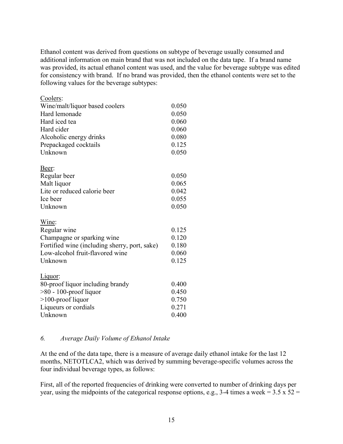Ethanol content was derived from questions on subtype of beverage usually consumed and additional information on main brand that was not included on the data tape. If a brand name was provided, its actual ethanol content was used, and the value for beverage subtype was edited for consistency with brand. If no brand was provided, then the ethanol contents were set to the following values for the beverage subtypes:

| Coolers:                                      |       |
|-----------------------------------------------|-------|
| Wine/malt/liquor based coolers                | 0.050 |
| Hard lemonade                                 | 0.050 |
| Hard iced tea                                 | 0.060 |
| Hard cider                                    | 0.060 |
| Alcoholic energy drinks                       | 0.080 |
| Prepackaged cocktails                         | 0.125 |
| Unknown                                       | 0.050 |
| Beer:                                         |       |
| Regular beer                                  | 0.050 |
| Malt liquor                                   | 0.065 |
| Lite or reduced calorie beer                  | 0.042 |
| Ice beer                                      | 0.055 |
| Unknown                                       | 0.050 |
| Wine:                                         |       |
| Regular wine                                  | 0.125 |
| Champagne or sparking wine                    | 0.120 |
| Fortified wine (including sherry, port, sake) | 0.180 |
| Low-alcohol fruit-flavored wine               | 0.060 |
| Unknown                                       | 0.125 |
| Liquor:                                       |       |
| 80-proof liquor including brandy              | 0.400 |
| $>80 - 100$ -proof liquor                     | 0.450 |
| >100-proof liquor                             | 0.750 |
| Liqueurs or cordials                          | 0.271 |
| Unknown                                       | 0.400 |

#### *6. Average Daily Volume of Ethanol Intake*

At the end of the data tape, there is a measure of average daily ethanol intake for the last 12 months, NETOTLCA2, which was derived by summing beverage-specific volumes across the four individual beverage types, as follows:

First, all of the reported frequencies of drinking were converted to number of drinking days per year, using the midpoints of the categorical response options, e.g., 3-4 times a week =  $3.5 \times 52 =$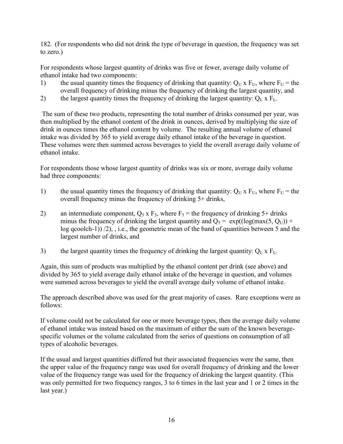182. (For respondents who did not drink the type of beverage in question, the frequency was set to zero.)

For respondents whose largest quantity of drinks was five or fewer, average daily volume of ethanol intake had two components:

- 1) the usual quantity times the frequency of drinking that quantity:  $Q_U x F_U$ , where  $F_U$  = the overall frequency of drinking minus the frequency of drinking the largest quantity, and
- 2) the largest quantity times the frequency of drinking the largest quantity:  $Q_L x F_L$ .

The sum of these two products, representing the total number of drinks consumed per year, was then multiplied by the ethanol content of the drink in ounces, derived by multiplying the size of drink in ounces times the ethanol content by volume. The resulting annual volume of ethanol intake was divided by 365 to yield average daily ethanol intake of the beverage in question. These volumes were then summed across beverages to yield the overall average daily volume of ethanol intake.

For respondents those whose largest quantity of drinks was six or more, average daily volume had three components:

- 1) the usual quantity times the frequency of drinking that quantity:  $Q_U x F_U$ , where  $F_U$  = the overall frequency minus the frequency of drinking 5+ drinks,
- 2) an intermediate component,  $Q_5$  x  $F_5$ , where  $F_5$  = the frequency of drinking 5+ drinks minus the frequency of drinking the largest quantity and  $Q_5 = \exp((\log(max(5, Q_U)) +$ log qcoolch-1)) /2), , i.e., the geometric mean of the band of quantities between 5 and the largest number of drinks, and
- 3) the largest quantity times the frequency of drinking the largest quantity:  $Q_L x F_L$ .

Again, this sum of products was multiplied by the ethanol content per drink (see above) and divided by 365 to yield average daily ethanol intake of the beverage in question, and volumes were summed across beverages to yield the overall average daily volume of ethanol intake.

The approach described above was used for the great majority of cases. Rare exceptions were as follows:

If volume could not be calculated for one or more beverage types, then the average daily volume of ethanol intake was instead based on the maximum of either the sum of the known beveragespecific volumes or the volume calculated from the series of questions on consumption of all types of alcoholic beverages.

If the usual and largest quantities differed but their associated frequencies were the same, then the upper value of the frequency range was used for overall frequency of drinking and the lower value of the frequency range was used for the frequency of drinking the largest quantity. (This was only permitted for two frequency ranges, 3 to 6 times in the last year and 1 or 2 times in the last year.)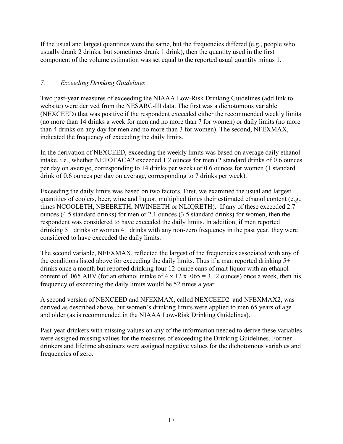If the usual and largest quantities were the same, but the frequencies differed (e.g., people who usually drank 2 drinks, but sometimes drank 1 drink), then the quantity used in the first component of the volume estimation was set equal to the reported usual quantity minus 1.

## *7. Exceeding Drinking Guidelines*

Two past-year measures of exceeding the NIAAA Low-Risk Drinking Guidelines (add link to website) were derived from the NESARC-III data. The first was a dichotomous variable (NEXCEED) that was positive if the respondent exceeded either the recommended weekly limits (no more than 14 drinks a week for men and no more than 7 for women) or daily limits (no more than 4 drinks on any day for men and no more than 3 for women). The second, NFEXMAX, indicated the frequency of exceeding the daily limits.

In the derivation of NEXCEED, exceeding the weekly limits was based on average daily ethanol intake, i.e., whether NETOTACA2 exceeded 1.2 ounces for men (2 standard drinks of 0.6 ounces per day on average, corresponding to 14 drinks per week) or 0.6 ounces for women (1 standard drink of 0.6 ounces per day on average, corresponding to 7 drinks per week).

Exceeding the daily limits was based on two factors. First, we examined the usual and largest quantities of coolers, beer, wine and liquor, multiplied times their estimated ethanol content (e.g., times NCOOLETH, NBEERETH, NWINEETH or NLIQRETH). If any of these exceeded 2.7 ounces (4.5 standard drinks) for men or 2.1 ounces (3.5 standard drinks) for women, then the respondent was considered to have exceeded the daily limits. In addition, if men reported drinking 5+ drinks or women 4+ drinks with any non-zero frequency in the past year, they were considered to have exceeded the daily limits.

The second variable, NFEXMAX, reflected the largest of the frequencies associated with any of the conditions listed above for exceeding the daily limits. Thus if a man reported drinking  $5+$ drinks once a month but reported drinking four 12-ounce cans of malt liquor with an ethanol content of .065 ABV (for an ethanol intake of  $4 \times 12 \times 0.065 = 3.12$  ounces) once a week, then his frequency of exceeding the daily limits would be 52 times a year.

A second version of NEXCEED and NFEXMAX, called NEXCEED2 and NFEXMAX2, was derived as described above, but women's drinking limits were applied to men 65 years of age and older (as is recommended in the NIAAA Low-Risk Drinking Guidelines).

Past-year drinkers with missing values on any of the information needed to derive these variables were assigned missing values for the measures of exceeding the Drinking Guidelines. Former drinkers and lifetime abstainers were assigned negative values for the dichotomous variables and frequencies of zero.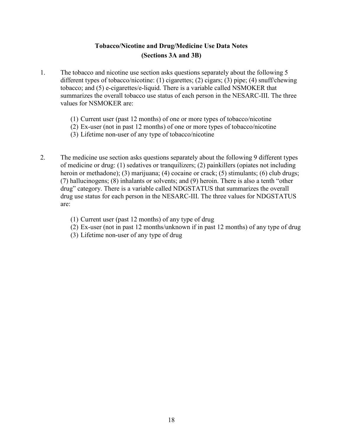## **Tobacco/Nicotine and Drug/Medicine Use Data Notes (Sections 3A and 3B)**

- 1. The tobacco and nicotine use section asks questions separately about the following 5 different types of tobacco/nicotine: (1) cigarettes; (2) cigars; (3) pipe; (4) snuff/chewing tobacco; and (5) e-cigarettes/e-liquid. There is a variable called NSMOKER that summarizes the overall tobacco use status of each person in the NESARC-III. The three values for NSMOKER are:
	- (1) Current user (past 12 months) of one or more types of tobacco/nicotine
	- (2) Ex-user (not in past 12 months) of one or more types of tobacco/nicotine
	- (3) Lifetime non-user of any type of tobacco/nicotine
- 2. The medicine use section asks questions separately about the following 9 different types of medicine or drug: (1) sedatives or tranquilizers; (2) painkillers (opiates not including heroin or methadone); (3) marijuana; (4) cocaine or crack; (5) stimulants; (6) club drugs; (7) hallucinogens; (8) inhalants or solvents; and (9) heroin. There is also a tenth "other drug" category. There is a variable called NDGSTATUS that summarizes the overall drug use status for each person in the NESARC-III. The three values for NDGSTATUS are:
	- (1) Current user (past 12 months) of any type of drug
	- (2) Ex-user (not in past 12 months/unknown if in past 12 months) of any type of drug
	- (3) Lifetime non-user of any type of drug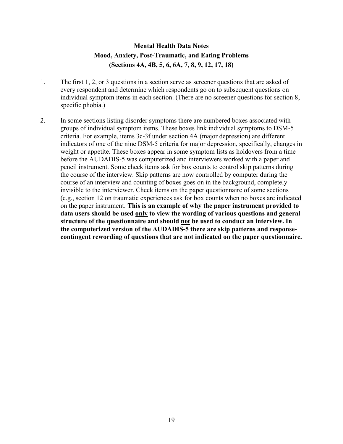## **Mental Health Data Notes Mood, Anxiety, Post-Traumatic, and Eating Problems (Sections 4A, 4B, 5, 6, 6A, 7, 8, 9, 12, 17, 18)**

- 1. The first 1, 2, or 3 questions in a section serve as screener questions that are asked of every respondent and determine which respondents go on to subsequent questions on individual symptom items in each section. (There are no screener questions for section 8, specific phobia.)
- 2. In some sections listing disorder symptoms there are numbered boxes associated with groups of individual symptom items. These boxes link individual symptoms to DSM-5 criteria. For example, items 3c-3f under section 4A (major depression) are different indicators of one of the nine DSM-5 criteria for major depression, specifically, changes in weight or appetite. These boxes appear in some symptom lists as holdovers from a time before the AUDADIS-5 was computerized and interviewers worked with a paper and pencil instrument. Some check items ask for box counts to control skip patterns during the course of the interview. Skip patterns are now controlled by computer during the course of an interview and counting of boxes goes on in the background, completely invisible to the interviewer. Check items on the paper questionnaire of some sections (e.g., section 12 on traumatic experiences ask for box counts when no boxes are indicated on the paper instrument. **This is an example of why the paper instrument provided to data users should be used only to view the wording of various questions and general structure of the questionnaire and should not be used to conduct an interview. In the computerized version of the AUDADIS-5 there are skip patterns and responsecontingent rewording of questions that are not indicated on the paper questionnaire.**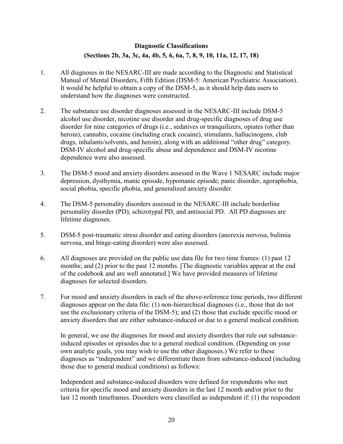## **Diagnostic Classifications (Sections 2b, 3a, 3c, 4a, 4b, 5, 6, 6a, 7, 8, 9, 10, 11a, 12, 17, 18)**

- 1. All diagnoses in the NESARC-III are made according to the Diagnostic and Statistical Manual of Mental Disorders, Fifth Edition (DSM-5: American Psychiatric Association). It would be helpful to obtain a copy of the DSM-5, as it should help data users to understand how the diagnoses were constructed.
- 2. The substance use disorder diagnoses assessed in the NESARC-III include DSM-5 alcohol use disorder, nicotine use disorder and drug-specific diagnoses of drug use disorder for nine categories of drugs (i.e., sedatives or tranquilizers, opiates (other than heroin), cannabis, cocaine (including crack cocaine), stimulants, hallucinogens, club drugs, inhalants/solvents, and heroin), along with an additional "other drug" category. DSM-IV alcohol and drug-specific abuse and dependence and DSM-IV nicotine dependence were also assessed.
- 3. The DSM-5 mood and anxiety disorders assessed in the Wave 1 NESARC include major depression, dysthymia, manic episode, hypomanic episode, panic disorder, agoraphobia, social phobia, specific phobia, and generalized anxiety disorder.
- 4. The DSM-5 personality disorders assessed in the NESARC-III include borderline personality disorder (PD), schizotypal PD, and antisocial PD. All PD diagnoses are lifetime diagnoses.
- 5. DSM-5 post-traumatic stress disorder and eating disorders (anorexia nervosa, bulimia nervosa, and binge-eating disorder) were also assessed.
- 6. All diagnoses are provided on the public use data file for two time frames: (1) past 12 months; and (2) prior to the past 12 months. [The diagnostic variables appear at the end of the codebook and are well annotated.] We have provided measures of lifetime diagnoses for selected disorders.
- 7. For mood and anxiety disorders in each of the above-reference time periods, two different diagnoses appear on the data file: (1) non-hierarchical diagnoses (i.e., those that do not use the exclusionary criteria of the DSM-5); and (2) those that exclude specific mood or anxiety disorders that are either substance-induced or due to a general medical condition.

In general, we use the diagnoses for mood and anxiety disorders that rule out substanceinduced episodes or episodes due to a general medical condition. (Depending on your own analytic goals, you may wish to use the other diagnoses.) We refer to these diagnoses as "independent" and we differentiate them from substance-induced (including those due to general medical conditions) as follows:

Independent and substance-induced disorders were defined for respondents who met criteria for specific mood and anxiety disorders in the last 12 month and/or prior to the last 12 month timeframes. Disorders were classified as independent if: (1) the respondent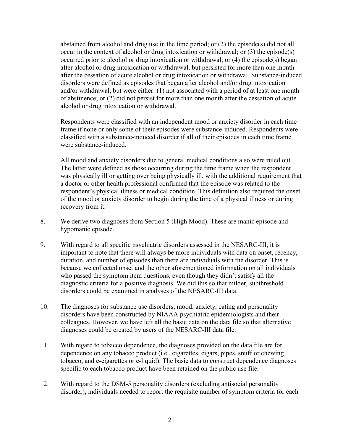abstained from alcohol and drug use in the time period; or (2) the episode(s) did not all occur in the context of alcohol or drug intoxication or withdrawal; or (3) the episode(s) occurred prior to alcohol or drug intoxication or withdrawal; or (4) the episode(s) began after alcohol or drug intoxication or withdrawal, but persisted for more than one month after the cessation of acute alcohol or drug intoxication or withdrawal. Substance-induced disorders were defined as episodes that began after alcohol and/or drug intoxication and/or withdrawal, but were either: (1) not associated with a period of at least one month of abstinence; or (2) did not persist for more than one month after the cessation of acute alcohol or drug intoxication or withdrawal.

Respondents were classified with an independent mood or anxiety disorder in each time frame if none or only some of their episodes were substance-induced. Respondents were classified with a substance-induced disorder if all of their episodes in each time frame were substance-induced.

All mood and anxiety disorders due to general medical conditions also were ruled out. The latter were defined as those occurring during the time frame when the respondent was physically ill or getting over being physically ill, with the additional requirement that a doctor or other health professional confirmed that the episode was related to the respondent's physical illness or medical condition. This definition also required the onset of the mood or anxiety disorder to begin during the time of a physical illness or during recovery from it.

- 8. We derive two diagnoses from Section 5 (High Mood). These are manic episode and hypomanic episode.
- 9. With regard to all specific psychiatric disorders assessed in the NESARC-III, it is important to note that there will always be more individuals with data on onset, recency, duration, and number of episodes than there are individuals with the disorder. This is because we collected onset and the other aforementioned information on all individuals who passed the symptom item questions, even though they didn't satisfy all the diagnostic criteria for a positive diagnosis. We did this so that milder, subthreshold disorders could be examined in analyses of the NESARC-III data.
- 10. The diagnoses for substance use disorders, mood, anxiety, eating and personality disorders have been constructed by NIAAA psychiatric epidemiologists and their colleagues. However, we have left all the basic data on the data file so that alternative diagnoses could be created by users of the NESARC-III data file.
- 11. With regard to tobacco dependence, the diagnoses provided on the data file are for dependence on any tobacco product (i.e., cigarettes, cigars, pipes, snuff or chewing tobacco, and e-cigarettes or e-liquid). The basic data to construct dependence diagnoses specific to each tobacco product have been retained on the public use file.
- 12. With regard to the DSM-5 personality disorders (excluding antisocial personality disorder), individuals needed to report the requisite number of symptom criteria for each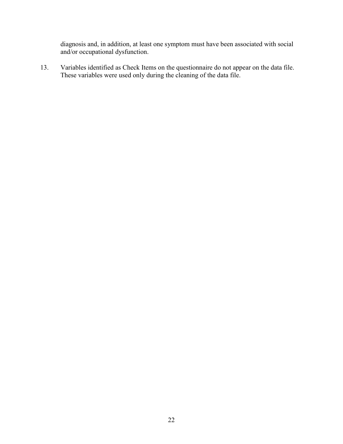diagnosis and, in addition, at least one symptom must have been associated with social and/or occupational dysfunction.

13. Variables identified as Check Items on the questionnaire do not appear on the data file. These variables were used only during the cleaning of the data file.